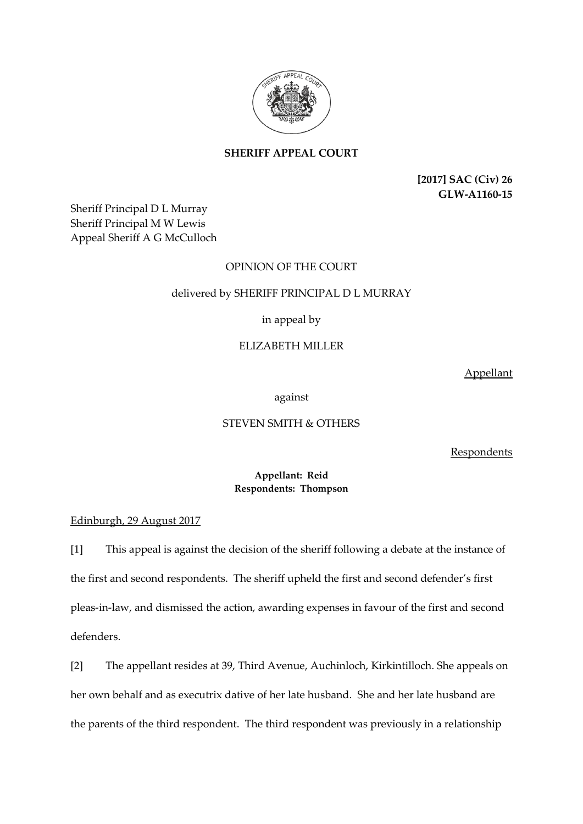

**SHERIFF APPEAL COURT**

**[2017] SAC (Civ) 26 GLW-A1160-15**

Sheriff Principal D L Murray Sheriff Principal M W Lewis Appeal Sheriff A G McCulloch

# OPINION OF THE COURT

## delivered by SHERIFF PRINCIPAL D L MURRAY

# in appeal by

# ELIZABETH MILLER

Appellant

against

### STEVEN SMITH & OTHERS

Respondents

### **Appellant: Reid Respondents: Thompson**

Edinburgh, 29 August 2017

[1] This appeal is against the decision of the sheriff following a debate at the instance of the first and second respondents. The sheriff upheld the first and second defender's first pleas-in-law, and dismissed the action, awarding expenses in favour of the first and second defenders.

[2] The appellant resides at 39, Third Avenue, Auchinloch, Kirkintilloch. She appeals on her own behalf and as executrix dative of her late husband. She and her late husband are the parents of the third respondent. The third respondent was previously in a relationship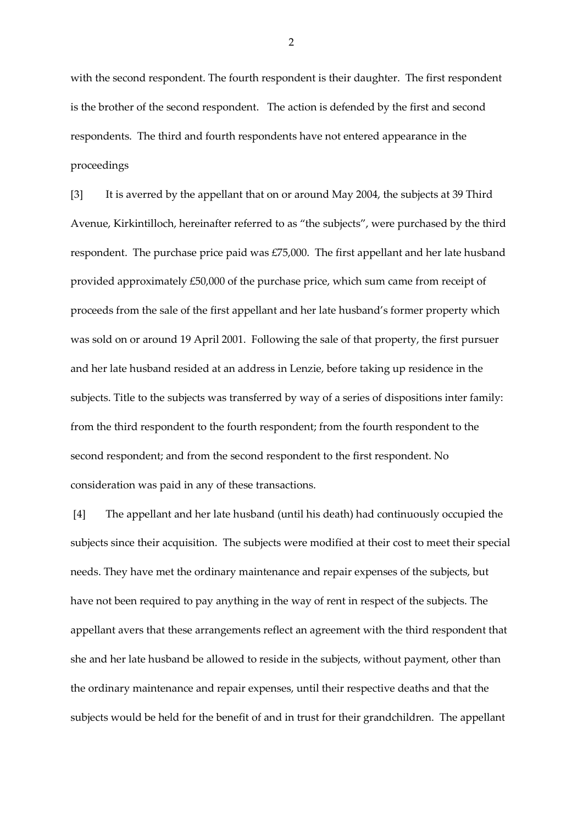with the second respondent. The fourth respondent is their daughter. The first respondent is the brother of the second respondent. The action is defended by the first and second respondents. The third and fourth respondents have not entered appearance in the proceedings

[3] It is averred by the appellant that on or around May 2004, the subjects at 39 Third Avenue, Kirkintilloch, hereinafter referred to as "the subjects", were purchased by the third respondent. The purchase price paid was £75,000. The first appellant and her late husband provided approximately £50,000 of the purchase price, which sum came from receipt of proceeds from the sale of the first appellant and her late husband's former property which was sold on or around 19 April 2001. Following the sale of that property, the first pursuer and her late husband resided at an address in Lenzie, before taking up residence in the subjects. Title to the subjects was transferred by way of a series of dispositions inter family: from the third respondent to the fourth respondent; from the fourth respondent to the second respondent; and from the second respondent to the first respondent. No consideration was paid in any of these transactions.

[4] The appellant and her late husband (until his death) had continuously occupied the subjects since their acquisition. The subjects were modified at their cost to meet their special needs. They have met the ordinary maintenance and repair expenses of the subjects, but have not been required to pay anything in the way of rent in respect of the subjects. The appellant avers that these arrangements reflect an agreement with the third respondent that she and her late husband be allowed to reside in the subjects, without payment, other than the ordinary maintenance and repair expenses, until their respective deaths and that the subjects would be held for the benefit of and in trust for their grandchildren. The appellant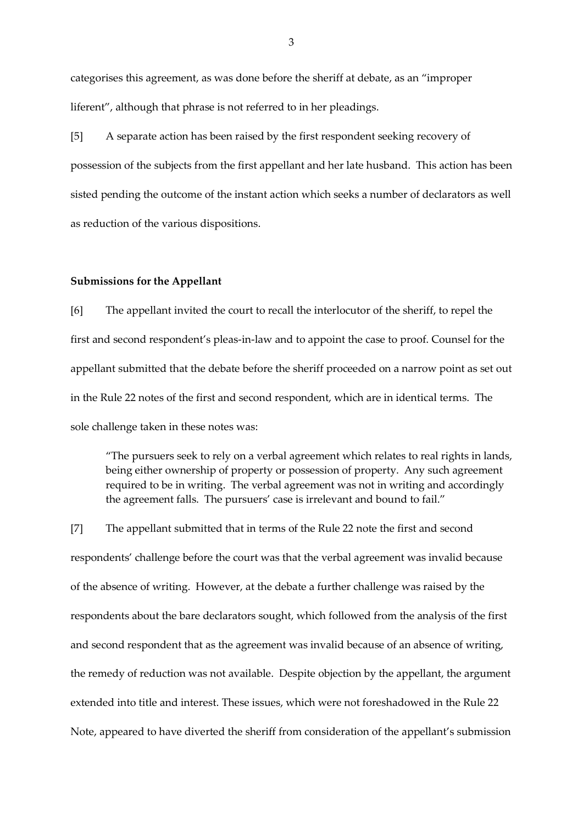categorises this agreement, as was done before the sheriff at debate, as an "improper liferent", although that phrase is not referred to in her pleadings.

[5] A separate action has been raised by the first respondent seeking recovery of possession of the subjects from the first appellant and her late husband. This action has been sisted pending the outcome of the instant action which seeks a number of declarators as well as reduction of the various dispositions.

#### **Submissions for the Appellant**

[6] The appellant invited the court to recall the interlocutor of the sheriff, to repel the first and second respondent's pleas-in-law and to appoint the case to proof. Counsel for the appellant submitted that the debate before the sheriff proceeded on a narrow point as set out in the Rule 22 notes of the first and second respondent, which are in identical terms. The sole challenge taken in these notes was:

"The pursuers seek to rely on a verbal agreement which relates to real rights in lands, being either ownership of property or possession of property. Any such agreement required to be in writing. The verbal agreement was not in writing and accordingly the agreement falls. The pursuers' case is irrelevant and bound to fail."

[7] The appellant submitted that in terms of the Rule 22 note the first and second respondents' challenge before the court was that the verbal agreement was invalid because of the absence of writing. However, at the debate a further challenge was raised by the respondents about the bare declarators sought, which followed from the analysis of the first and second respondent that as the agreement was invalid because of an absence of writing, the remedy of reduction was not available. Despite objection by the appellant, the argument extended into title and interest. These issues, which were not foreshadowed in the Rule 22 Note, appeared to have diverted the sheriff from consideration of the appellant's submission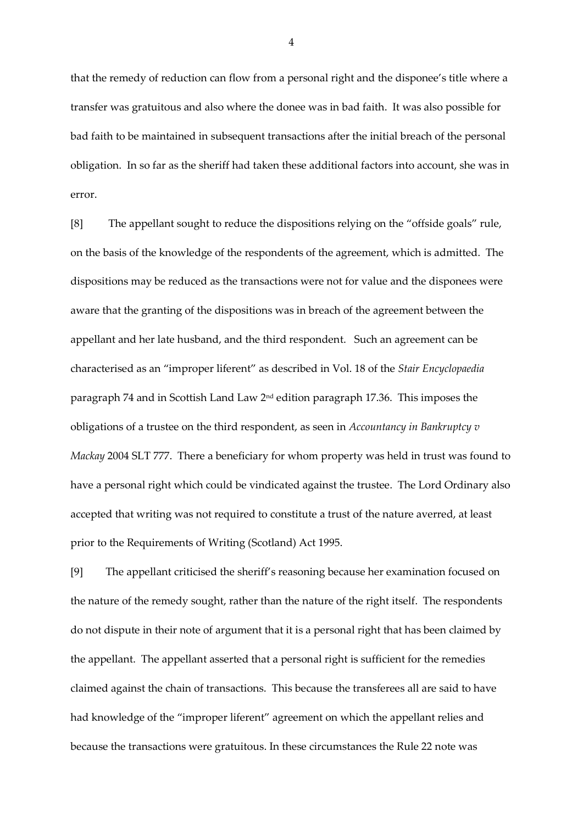that the remedy of reduction can flow from a personal right and the disponee's title where a transfer was gratuitous and also where the donee was in bad faith. It was also possible for bad faith to be maintained in subsequent transactions after the initial breach of the personal obligation. In so far as the sheriff had taken these additional factors into account, she was in error.

[8] The appellant sought to reduce the dispositions relying on the "offside goals" rule, on the basis of the knowledge of the respondents of the agreement, which is admitted. The dispositions may be reduced as the transactions were not for value and the disponees were aware that the granting of the dispositions was in breach of the agreement between the appellant and her late husband, and the third respondent. Such an agreement can be characterised as an "improper liferent" as described in Vol. 18 of the *Stair Encyclopaedia* paragraph 74 and in Scottish Land Law 2nd edition paragraph 17.36. This imposes the obligations of a trustee on the third respondent, as seen in *Accountancy in Bankruptcy v Mackay* 2004 SLT 777. There a beneficiary for whom property was held in trust was found to have a personal right which could be vindicated against the trustee. The Lord Ordinary also accepted that writing was not required to constitute a trust of the nature averred, at least prior to the Requirements of Writing (Scotland) Act 1995.

[9] The appellant criticised the sheriff's reasoning because her examination focused on the nature of the remedy sought, rather than the nature of the right itself. The respondents do not dispute in their note of argument that it is a personal right that has been claimed by the appellant. The appellant asserted that a personal right is sufficient for the remedies claimed against the chain of transactions. This because the transferees all are said to have had knowledge of the "improper liferent" agreement on which the appellant relies and because the transactions were gratuitous. In these circumstances the Rule 22 note was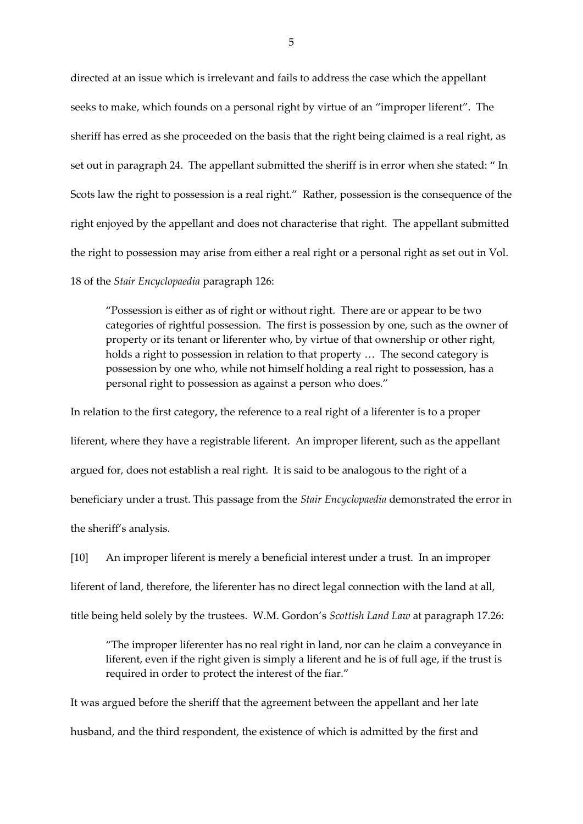directed at an issue which is irrelevant and fails to address the case which the appellant seeks to make, which founds on a personal right by virtue of an "improper liferent". The sheriff has erred as she proceeded on the basis that the right being claimed is a real right, as set out in paragraph 24. The appellant submitted the sheriff is in error when she stated: " In Scots law the right to possession is a real right." Rather, possession is the consequence of the right enjoyed by the appellant and does not characterise that right. The appellant submitted the right to possession may arise from either a real right or a personal right as set out in Vol. 18 of the *Stair Encyclopaedia* paragraph 126:

"Possession is either as of right or without right. There are or appear to be two categories of rightful possession. The first is possession by one, such as the owner of property or its tenant or liferenter who, by virtue of that ownership or other right, holds a right to possession in relation to that property … The second category is possession by one who, while not himself holding a real right to possession, has a personal right to possession as against a person who does."

In relation to the first category, the reference to a real right of a liferenter is to a proper liferent, where they have a registrable liferent. An improper liferent, such as the appellant argued for, does not establish a real right. It is said to be analogous to the right of a beneficiary under a trust. This passage from the *Stair Encyclopaedia* demonstrated the error in the sheriff's analysis.

[10] An improper liferent is merely a beneficial interest under a trust. In an improper liferent of land, therefore, the liferenter has no direct legal connection with the land at all, title being held solely by the trustees. W.M. Gordon's *Scottish Land Law* at paragraph 17.26:

"The improper liferenter has no real right in land, nor can he claim a conveyance in liferent, even if the right given is simply a liferent and he is of full age, if the trust is required in order to protect the interest of the fiar."

It was argued before the sheriff that the agreement between the appellant and her late husband, and the third respondent, the existence of which is admitted by the first and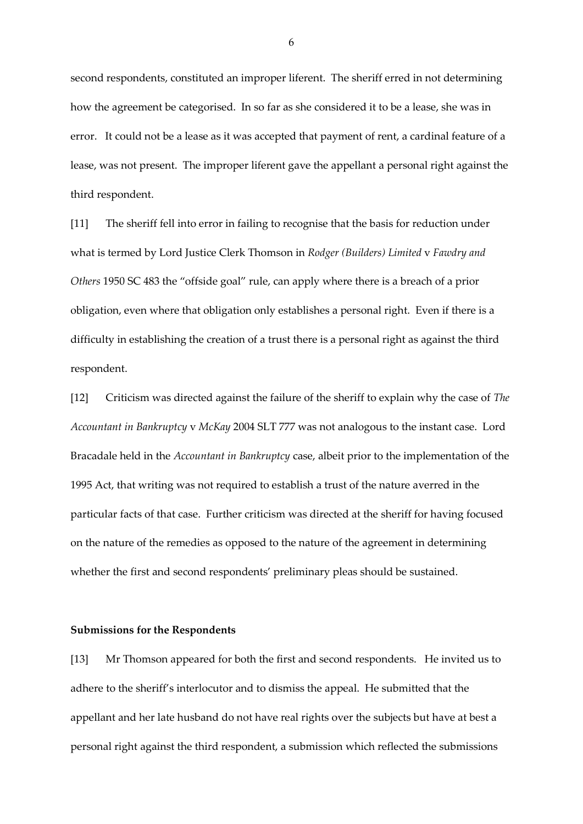second respondents, constituted an improper liferent. The sheriff erred in not determining how the agreement be categorised. In so far as she considered it to be a lease, she was in error. It could not be a lease as it was accepted that payment of rent, a cardinal feature of a lease, was not present. The improper liferent gave the appellant a personal right against the third respondent.

[11] The sheriff fell into error in failing to recognise that the basis for reduction under what is termed by Lord Justice Clerk Thomson in *Rodger (Builders) Limited* v *Fawdry and Others* 1950 SC 483 the "offside goal" rule, can apply where there is a breach of a prior obligation, even where that obligation only establishes a personal right. Even if there is a difficulty in establishing the creation of a trust there is a personal right as against the third respondent.

[12] Criticism was directed against the failure of the sheriff to explain why the case of *The Accountant in Bankruptcy* v *McKay* 2004 SLT 777 was not analogous to the instant case. Lord Bracadale held in the *Accountant in Bankruptcy* case, albeit prior to the implementation of the 1995 Act, that writing was not required to establish a trust of the nature averred in the particular facts of that case. Further criticism was directed at the sheriff for having focused on the nature of the remedies as opposed to the nature of the agreement in determining whether the first and second respondents' preliminary pleas should be sustained.

#### **Submissions for the Respondents**

[13] Mr Thomson appeared for both the first and second respondents. He invited us to adhere to the sheriff's interlocutor and to dismiss the appeal. He submitted that the appellant and her late husband do not have real rights over the subjects but have at best a personal right against the third respondent, a submission which reflected the submissions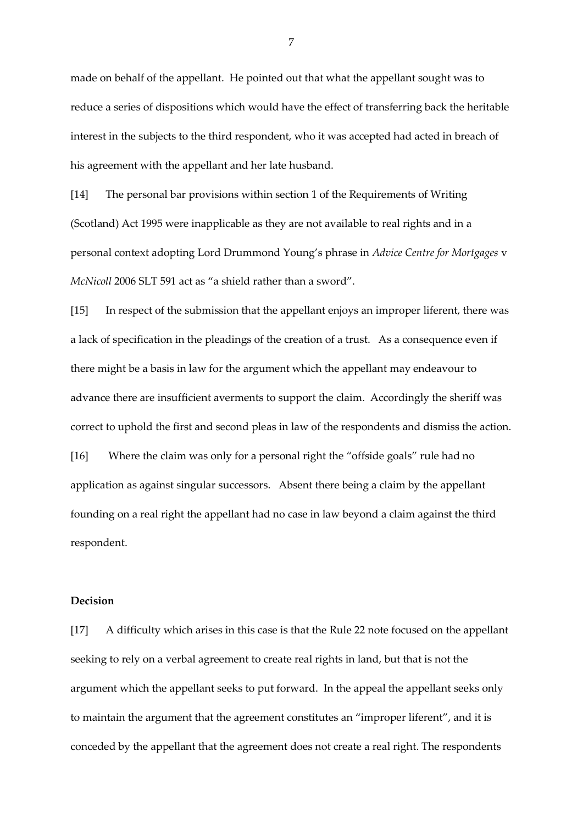made on behalf of the appellant. He pointed out that what the appellant sought was to reduce a series of dispositions which would have the effect of transferring back the heritable interest in the subjects to the third respondent, who it was accepted had acted in breach of his agreement with the appellant and her late husband.

[14] The personal bar provisions within section 1 of the Requirements of Writing (Scotland) Act 1995 were inapplicable as they are not available to real rights and in a personal context adopting Lord Drummond Young's phrase in *Advice Centre for Mortgages* v *McNicoll* 2006 SLT 591 act as "a shield rather than a sword".

[15] In respect of the submission that the appellant enjoys an improper liferent, there was a lack of specification in the pleadings of the creation of a trust. As a consequence even if there might be a basis in law for the argument which the appellant may endeavour to advance there are insufficient averments to support the claim. Accordingly the sheriff was correct to uphold the first and second pleas in law of the respondents and dismiss the action. [16] Where the claim was only for a personal right the "offside goals" rule had no application as against singular successors. Absent there being a claim by the appellant founding on a real right the appellant had no case in law beyond a claim against the third respondent.

#### **Decision**

[17] A difficulty which arises in this case is that the Rule 22 note focused on the appellant seeking to rely on a verbal agreement to create real rights in land, but that is not the argument which the appellant seeks to put forward. In the appeal the appellant seeks only to maintain the argument that the agreement constitutes an "improper liferent", and it is conceded by the appellant that the agreement does not create a real right. The respondents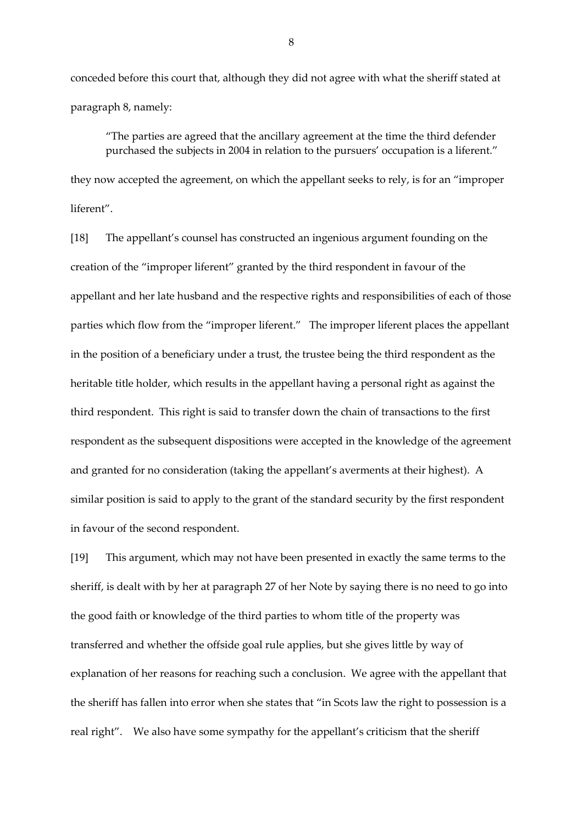conceded before this court that, although they did not agree with what the sheriff stated at paragraph 8, namely:

"The parties are agreed that the ancillary agreement at the time the third defender purchased the subjects in 2004 in relation to the pursuers' occupation is a liferent." they now accepted the agreement, on which the appellant seeks to rely, is for an "improper liferent".

[18] The appellant's counsel has constructed an ingenious argument founding on the creation of the "improper liferent" granted by the third respondent in favour of the appellant and her late husband and the respective rights and responsibilities of each of those parties which flow from the "improper liferent." The improper liferent places the appellant in the position of a beneficiary under a trust, the trustee being the third respondent as the heritable title holder, which results in the appellant having a personal right as against the third respondent. This right is said to transfer down the chain of transactions to the first respondent as the subsequent dispositions were accepted in the knowledge of the agreement and granted for no consideration (taking the appellant's averments at their highest). A similar position is said to apply to the grant of the standard security by the first respondent in favour of the second respondent.

[19] This argument, which may not have been presented in exactly the same terms to the sheriff, is dealt with by her at paragraph 27 of her Note by saying there is no need to go into the good faith or knowledge of the third parties to whom title of the property was transferred and whether the offside goal rule applies, but she gives little by way of explanation of her reasons for reaching such a conclusion. We agree with the appellant that the sheriff has fallen into error when she states that "in Scots law the right to possession is a real right". We also have some sympathy for the appellant's criticism that the sheriff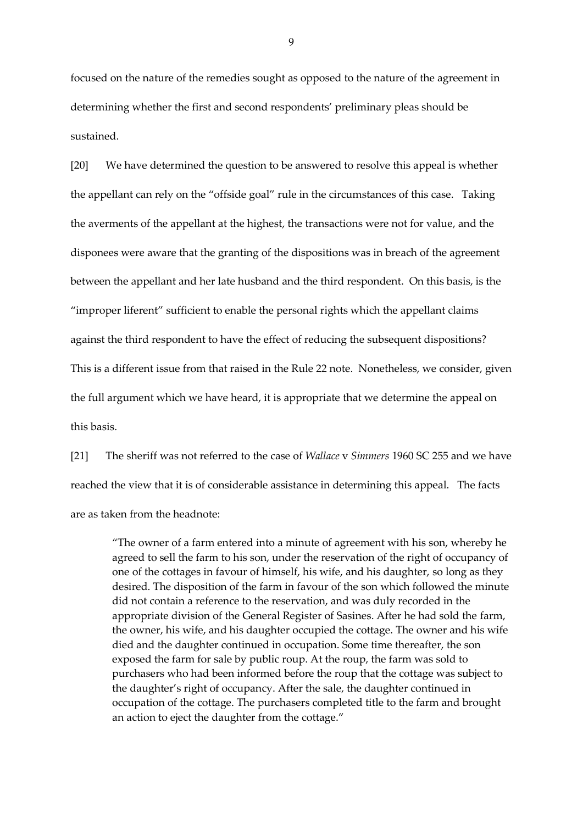focused on the nature of the remedies sought as opposed to the nature of the agreement in determining whether the first and second respondents' preliminary pleas should be sustained.

[20] We have determined the question to be answered to resolve this appeal is whether the appellant can rely on the "offside goal" rule in the circumstances of this case. Taking the averments of the appellant at the highest, the transactions were not for value, and the disponees were aware that the granting of the dispositions was in breach of the agreement between the appellant and her late husband and the third respondent. On this basis, is the "improper liferent" sufficient to enable the personal rights which the appellant claims against the third respondent to have the effect of reducing the subsequent dispositions? This is a different issue from that raised in the Rule 22 note. Nonetheless, we consider, given the full argument which we have heard, it is appropriate that we determine the appeal on this basis.

[21] The sheriff was not referred to the case of *Wallace* v *Simmers* 1960 SC 255 and we have reached the view that it is of considerable assistance in determining this appeal. The facts are as taken from the headnote:

"The owner of a farm entered into a minute of agreement with his son, whereby he agreed to sell the farm to his son, under the reservation of the right of occupancy of one of the cottages in favour of himself, his wife, and his daughter, so long as they desired. The disposition of the farm in favour of the son which followed the minute did not contain a reference to the reservation, and was duly recorded in the appropriate division of the General Register of Sasines. After he had sold the farm, the owner, his wife, and his daughter occupied the cottage. The owner and his wife died and the daughter continued in occupation. Some time thereafter, the son exposed the farm for sale by public roup. At the roup, the farm was sold to purchasers who had been informed before the roup that the cottage was subject to the daughter's right of occupancy. After the sale, the daughter continued in occupation of the cottage. The purchasers completed title to the farm and brought an action to eject the daughter from the cottage."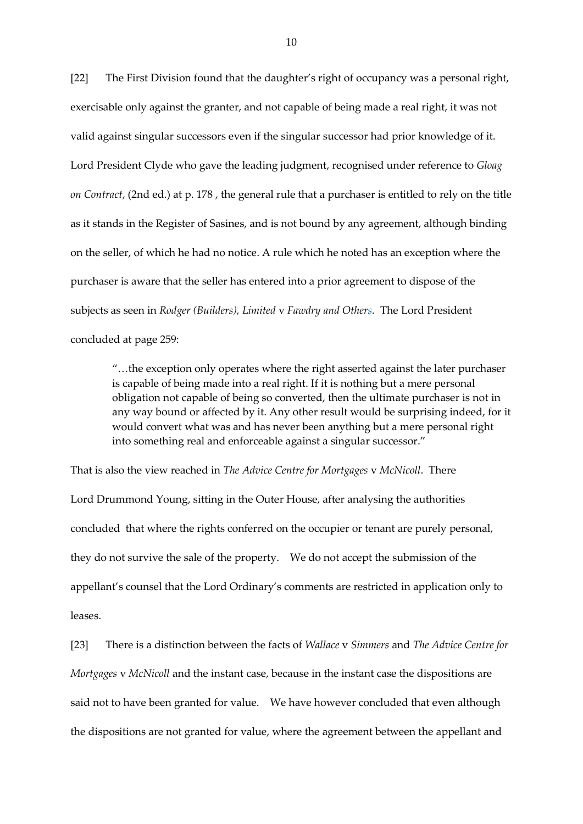[22] The First Division found that the daughter's right of occupancy was a personal right, exercisable only against the granter, and not capable of being made a real right, it was not valid against singular successors even if the singular successor had prior knowledge of it. Lord President Clyde who gave the leading judgment, recognised under reference to *Gloag on Contract*, (2nd ed.) at p. 178 , the general rule that a purchaser is entitled to rely on the title as it stands in the Register of Sasines, and is not bound by any agreement, although binding on the seller, of which he had no notice. A rule which he noted has an exception where the purchaser is aware that the seller has entered into a prior agreement to dispose of the subjects as seen in *[Rodger \(Builders\), Limited](https://login.westlaw.co.uk/maf/wluk/app/document?src=doc&linktype=ref&context=34&crumb-action=replace&docguid=I898E2570E42811DA8FC2A0F0355337E9)* v *Fawdry and Others.* The Lord President concluded at page 259:

"…the exception only operates where the right asserted against the later purchaser is capable of being made into a real right. If it is nothing but a mere personal obligation not capable of being so converted, then the ultimate purchaser is not in any way bound or affected by it. Any other result would be surprising indeed, for it would convert what was and has never been anything but a mere personal right into something real and enforceable against a singular successor."

That is also the view reached in *The Advice Centre for Mortgages* v *McNicoll*. There Lord Drummond Young, sitting in the Outer House, after analysing the authorities concluded that where the rights conferred on the occupier or tenant are purely personal, they do not survive the sale of the property. We do not accept the submission of the appellant's counsel that the Lord Ordinary's comments are restricted in application only to leases.

[23] There is a distinction between the facts of *Wallace* v *Simmers* and *The Advice Centre for Mortgages* v *McNicoll* and the instant case, because in the instant case the dispositions are said not to have been granted for value. We have however concluded that even although the dispositions are not granted for value, where the agreement between the appellant and